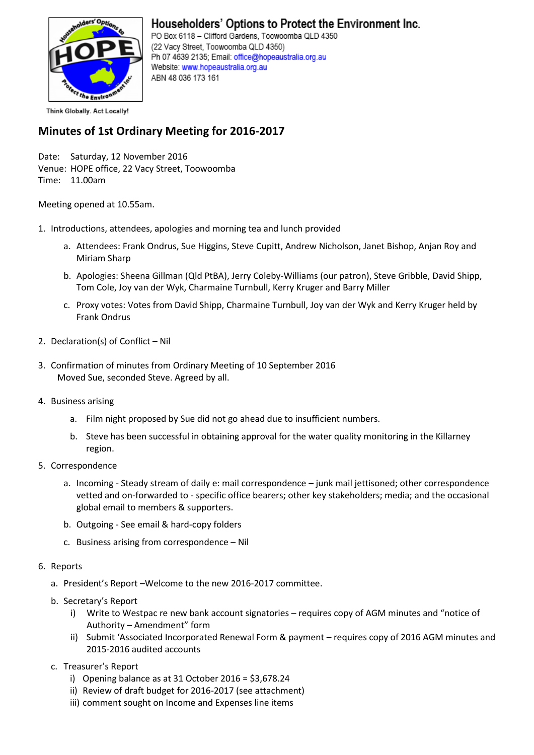

## Householders' Options to Protect the Environment Inc.

PO Box 6118 - Clifford Gardens, Toowoomba QLD 4350 (22 Vacy Street, Toowoomba QLD 4350) Ph 07 4639 2135; Email: office@hopeaustralia.org.au Website: www.hopeaustralia.org.au ABN 48 036 173 161

Think Globally. Act Locally!

## **Minutes of 1st Ordinary Meeting for 2016-2017**

Date: Saturday, 12 November 2016 Venue: HOPE office, 22 Vacy Street, Toowoomba Time: 11.00am

Meeting opened at 10.55am.

- 1. Introductions, attendees, apologies and morning tea and lunch provided
	- a. Attendees: Frank Ondrus, Sue Higgins, Steve Cupitt, Andrew Nicholson, Janet Bishop, Anjan Roy and Miriam Sharp
	- b. Apologies: Sheena Gillman (Qld PtBA), Jerry Coleby-Williams (our patron), Steve Gribble, David Shipp, Tom Cole, Joy van der Wyk, Charmaine Turnbull, Kerry Kruger and Barry Miller
	- c. Proxy votes: Votes from David Shipp, Charmaine Turnbull, Joy van der Wyk and Kerry Kruger held by Frank Ondrus
- 2. Declaration(s) of Conflict Nil
- 3. Confirmation of minutes from Ordinary Meeting of 10 September 2016 Moved Sue, seconded Steve. Agreed by all.
- 4. Business arising
	- a. Film night proposed by Sue did not go ahead due to insufficient numbers.
	- b. Steve has been successful in obtaining approval for the water quality monitoring in the Killarney region.
- 5. Correspondence
	- a. Incoming Steady stream of daily e: mail correspondence junk mail jettisoned; other correspondence vetted and on-forwarded to - specific office bearers; other key stakeholders; media; and the occasional global email to members & supporters.
	- b. Outgoing See email & hard-copy folders
	- c. Business arising from correspondence Nil
- 6. Reports
	- a. President's Report –Welcome to the new 2016-2017 committee.
	- b. Secretary's Report
		- i) Write to Westpac re new bank account signatories requires copy of AGM minutes and "notice of Authority – Amendment" form
		- ii) Submit 'Associated Incorporated Renewal Form & payment requires copy of 2016 AGM minutes and 2015-2016 audited accounts
	- c. Treasurer's Report
		- i) Opening balance as at 31 October 2016 = \$3,678.24
		- ii) Review of draft budget for 2016-2017 (see attachment)
		- iii) comment sought on Income and Expenses line items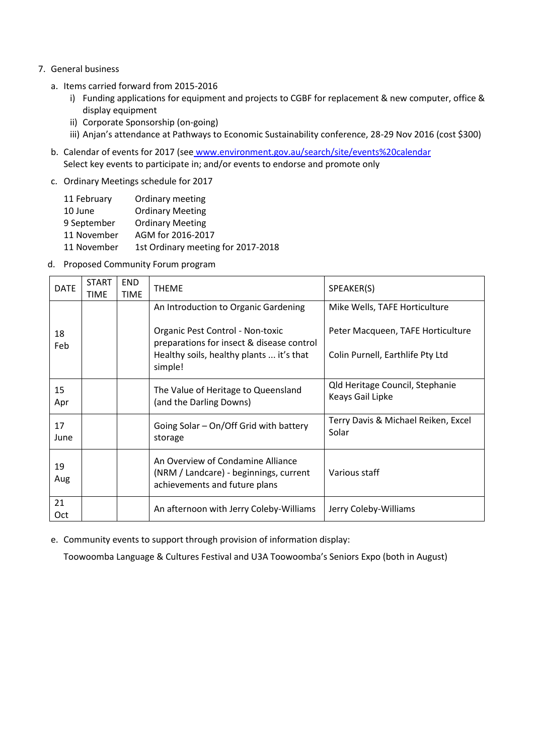- 7. General business
	- a. Items carried forward from 2015-2016
		- i) Funding applications for equipment and projects to CGBF for replacement & new computer, office & display equipment
		- ii) Corporate Sponsorship (on-going)
		- iii) Anjan's attendance at Pathways to Economic Sustainability conference, 28-29 Nov 2016 (cost \$300)
	- b. Calendar of events for 2017 (see www.environment.gov.au/search/site/events%20calendar Select key events to participate in; and/or events to endorse and promote only
	- c. Ordinary Meetings schedule for 2017

| 11 February | Ordinary meeting                   |
|-------------|------------------------------------|
| 10 June     | <b>Ordinary Meeting</b>            |
| 9 September | <b>Ordinary Meeting</b>            |
| 11 November | AGM for 2016-2017                  |
| 11 November | 1st Ordinary meeting for 2017-2018 |

d. Proposed Community Forum program

| <b>DATE</b> | <b>START</b><br><b>TIME</b> | <b>END</b><br><b>TIME</b> | <b>THEME</b>                                                                                                 | SPEAKER(S)                                          |
|-------------|-----------------------------|---------------------------|--------------------------------------------------------------------------------------------------------------|-----------------------------------------------------|
|             |                             |                           | An Introduction to Organic Gardening                                                                         | Mike Wells, TAFE Horticulture                       |
| 18<br>Feb   |                             |                           | Organic Pest Control - Non-toxic<br>preparations for insect & disease control                                | Peter Macqueen, TAFE Horticulture                   |
|             |                             |                           | Healthy soils, healthy plants  it's that<br>simple!                                                          | Colin Purnell, Earthlife Pty Ltd                    |
| 15<br>Apr   |                             |                           | The Value of Heritage to Queensland<br>(and the Darling Downs)                                               | Qld Heritage Council, Stephanie<br>Keays Gail Lipke |
| 17<br>June  |                             |                           | Going Solar - On/Off Grid with battery<br>storage                                                            | Terry Davis & Michael Reiken, Excel<br>Solar        |
| 19<br>Aug   |                             |                           | An Overview of Condamine Alliance<br>(NRM / Landcare) - beginnings, current<br>achievements and future plans | Various staff                                       |
| 21<br>Oct   |                             |                           | An afternoon with Jerry Coleby-Williams                                                                      | Jerry Coleby-Williams                               |

e. Community events to support through provision of information display:

Toowoomba Language & Cultures Festival and U3A Toowoomba's Seniors Expo (both in August)